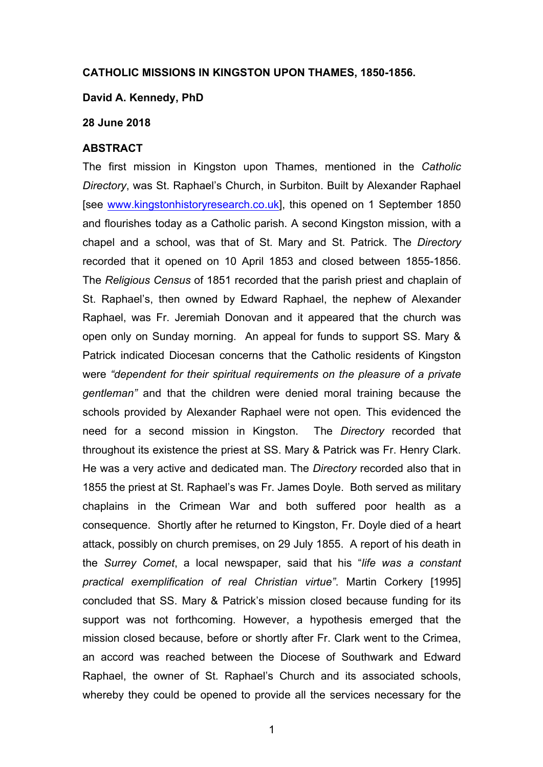### **CATHOLIC MISSIONS IN KINGSTON UPON THAMES, 1850-1856.**

#### **David A. Kennedy, PhD**

#### **28 June 2018**

## **ABSTRACT**

The first mission in Kingston upon Thames, mentioned in the *Catholic Directory*, was St. Raphael's Church, in Surbiton. Built by Alexander Raphael [see www.kingstonhistoryresearch.co.uk], this opened on 1 September 1850 and flourishes today as a Catholic parish. A second Kingston mission, with a chapel and a school, was that of St. Mary and St. Patrick. The *Directory* recorded that it opened on 10 April 1853 and closed between 1855-1856. The *Religious Census* of 1851 recorded that the parish priest and chaplain of St. Raphael's, then owned by Edward Raphael, the nephew of Alexander Raphael, was Fr. Jeremiah Donovan and it appeared that the church was open only on Sunday morning. An appeal for funds to support SS. Mary & Patrick indicated Diocesan concerns that the Catholic residents of Kingston were *"dependent for their spiritual requirements on the pleasure of a private gentleman"* and that the children were denied moral training because the schools provided by Alexander Raphael were not open*.* This evidenced the need for a second mission in Kingston. The *Directory* recorded that throughout its existence the priest at SS. Mary & Patrick was Fr. Henry Clark. He was a very active and dedicated man. The *Directory* recorded also that in 1855 the priest at St. Raphael's was Fr. James Doyle. Both served as military chaplains in the Crimean War and both suffered poor health as a consequence. Shortly after he returned to Kingston, Fr. Doyle died of a heart attack, possibly on church premises, on 29 July 1855. A report of his death in the *Surrey Comet*, a local newspaper, said that his "*life was a constant practical exemplification of real Christian virtue"*. Martin Corkery [1995] concluded that SS. Mary & Patrick's mission closed because funding for its support was not forthcoming. However, a hypothesis emerged that the mission closed because, before or shortly after Fr. Clark went to the Crimea, an accord was reached between the Diocese of Southwark and Edward Raphael, the owner of St. Raphael's Church and its associated schools, whereby they could be opened to provide all the services necessary for the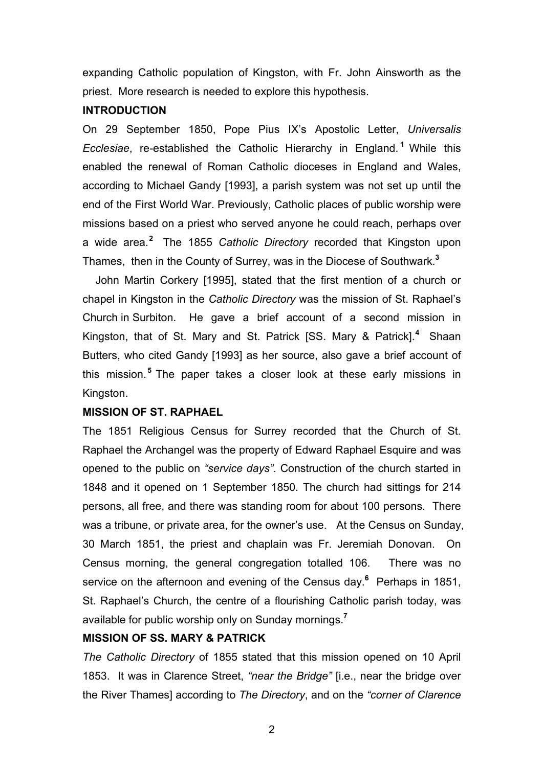expanding Catholic population of Kingston, with Fr. John Ainsworth as the priest. More research is needed to explore this hypothesis.

## **INTRODUCTION**

On 29 September 1850, Pope Pius IX's Apostolic Letter, *Universalis Ecclesiae*, re-established the Catholic Hierarchy in England. **<sup>1</sup>** While this enabled the renewal of Roman Catholic dioceses in England and Wales, according to Michael Gandy [1993], a parish system was not set up until the end of the First World War. Previously, Catholic places of public worship were missions based on a priest who served anyone he could reach, perhaps over a wide area.**<sup>2</sup>** The 1855 *Catholic Directory* recorded that Kingston upon Thames, then in the County of Surrey, was in the Diocese of Southwark.**<sup>3</sup>**

John Martin Corkery [1995], stated that the first mention of a church or chapel in Kingston in the *Catholic Directory* was the mission of St. Raphael's Church in Surbiton. He gave a brief account of a second mission in Kingston, that of St. Mary and St. Patrick [SS. Mary & Patrick].<sup>4</sup> Shaan Butters, who cited Gandy [1993] as her source, also gave a brief account of this mission. **<sup>5</sup>** The paper takes a closer look at these early missions in Kingston.

# **MISSION OF ST. RAPHAEL**

The 1851 Religious Census for Surrey recorded that the Church of St. Raphael the Archangel was the property of Edward Raphael Esquire and was opened to the public on *"service days"*. Construction of the church started in 1848 and it opened on 1 September 1850. The church had sittings for 214 persons, all free, and there was standing room for about 100 persons. There was a tribune, or private area, for the owner's use. At the Census on Sunday, 30 March 1851, the priest and chaplain was Fr. Jeremiah Donovan. On Census morning, the general congregation totalled 106. There was no service on the afternoon and evening of the Census day.**<sup>6</sup>** Perhaps in 1851, St. Raphael's Church, the centre of a flourishing Catholic parish today, was available for public worship only on Sunday mornings.**<sup>7</sup>**

# **MISSION OF SS. MARY & PATRICK**

*The Catholic Directory* of 1855 stated that this mission opened on 10 April 1853. It was in Clarence Street, *"near the Bridge"* [i.e., near the bridge over the River Thames] according to *The Directory*, and on the *"corner of Clarence*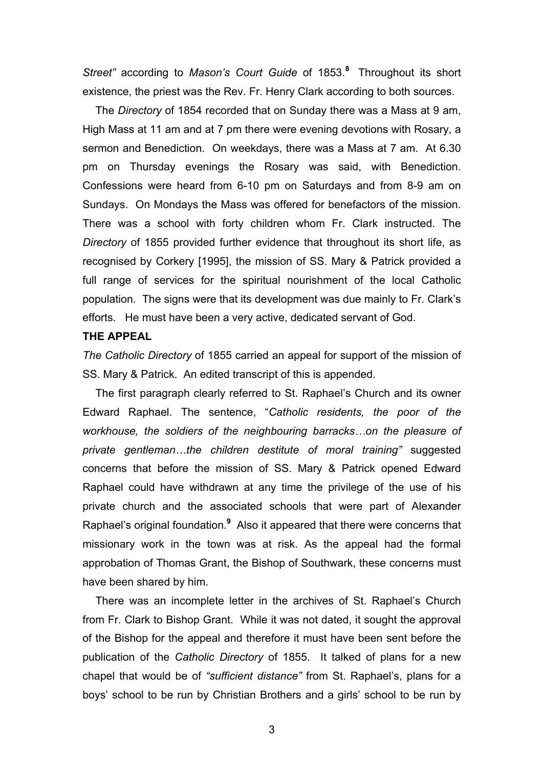*Street"* according to *Mason's Court Guide* of 1853.**<sup>8</sup>** Throughout its short existence, the priest was the Rev. Fr. Henry Clark according to both sources.

The *Directory* of 1854 recorded that on Sunday there was a Mass at 9 am, High Mass at 11 am and at 7 pm there were evening devotions with Rosary, a sermon and Benediction. On weekdays, there was a Mass at 7 am. At 6.30 pm on Thursday evenings the Rosary was said, with Benediction. Confessions were heard from 6-10 pm on Saturdays and from 8-9 am on Sundays. On Mondays the Mass was offered for benefactors of the mission. There was a school with forty children whom Fr. Clark instructed. The *Directory* of 1855 provided further evidence that throughout its short life, as recognised by Corkery [1995], the mission of SS. Mary & Patrick provided a full range of services for the spiritual nourishment of the local Catholic population. The signs were that its development was due mainly to Fr. Clark's efforts. He must have been a very active, dedicated servant of God.

## **THE APPEAL**

*The Catholic Directory* of 1855 carried an appeal for support of the mission of SS. Mary & Patrick. An edited transcript of this is appended.

The first paragraph clearly referred to St. Raphael's Church and its owner Edward Raphael. The sentence, "*Catholic residents, the poor of the workhouse, the soldiers of the neighbouring barracks…on the pleasure of private gentleman…the children destitute of moral training"* suggested concerns that before the mission of SS. Mary & Patrick opened Edward Raphael could have withdrawn at any time the privilege of the use of his private church and the associated schools that were part of Alexander Raphael's original foundation. **<sup>9</sup>** Also it appeared that there were concerns that missionary work in the town was at risk. As the appeal had the formal approbation of Thomas Grant, the Bishop of Southwark, these concerns must have been shared by him.

There was an incomplete letter in the archives of St. Raphael's Church from Fr. Clark to Bishop Grant. While it was not dated, it sought the approval of the Bishop for the appeal and therefore it must have been sent before the publication of the *Catholic Directory* of 1855. It talked of plans for a new chapel that would be of *"sufficient distance"* from St. Raphael's, plans for a boys' school to be run by Christian Brothers and a girls' school to be run by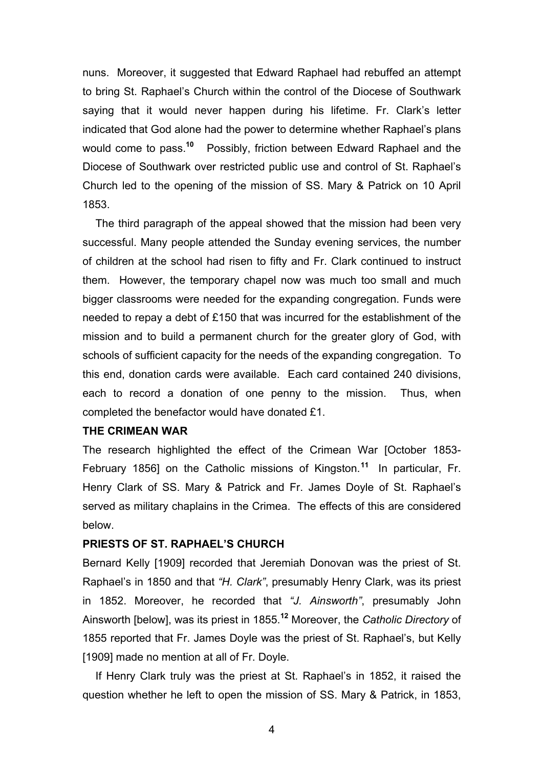nuns. Moreover, it suggested that Edward Raphael had rebuffed an attempt to bring St. Raphael's Church within the control of the Diocese of Southwark saying that it would never happen during his lifetime. Fr. Clark's letter indicated that God alone had the power to determine whether Raphael's plans would come to pass.**<sup>10</sup>** Possibly, friction between Edward Raphael and the Diocese of Southwark over restricted public use and control of St. Raphael's Church led to the opening of the mission of SS. Mary & Patrick on 10 April 1853.

The third paragraph of the appeal showed that the mission had been very successful. Many people attended the Sunday evening services, the number of children at the school had risen to fifty and Fr. Clark continued to instruct them. However, the temporary chapel now was much too small and much bigger classrooms were needed for the expanding congregation. Funds were needed to repay a debt of £150 that was incurred for the establishment of the mission and to build a permanent church for the greater glory of God, with schools of sufficient capacity for the needs of the expanding congregation. To this end, donation cards were available. Each card contained 240 divisions, each to record a donation of one penny to the mission. Thus, when completed the benefactor would have donated £1.

## **THE CRIMEAN WAR**

The research highlighted the effect of the Crimean War [October 1853- February 1856] on the Catholic missions of Kingston. **<sup>11</sup>** In particular, Fr. Henry Clark of SS. Mary & Patrick and Fr. James Doyle of St. Raphael's served as military chaplains in the Crimea. The effects of this are considered below.

### **PRIESTS OF ST. RAPHAEL'S CHURCH**

Bernard Kelly [1909] recorded that Jeremiah Donovan was the priest of St. Raphael's in 1850 and that *"H. Clark"*, presumably Henry Clark, was its priest in 1852. Moreover, he recorded that *"J. Ainsworth"*, presumably John Ainsworth [below], was its priest in 1855. **<sup>12</sup>** Moreover, the *Catholic Directory* of 1855 reported that Fr. James Doyle was the priest of St. Raphael's, but Kelly [1909] made no mention at all of Fr. Doyle.

If Henry Clark truly was the priest at St. Raphael's in 1852, it raised the question whether he left to open the mission of SS. Mary & Patrick, in 1853,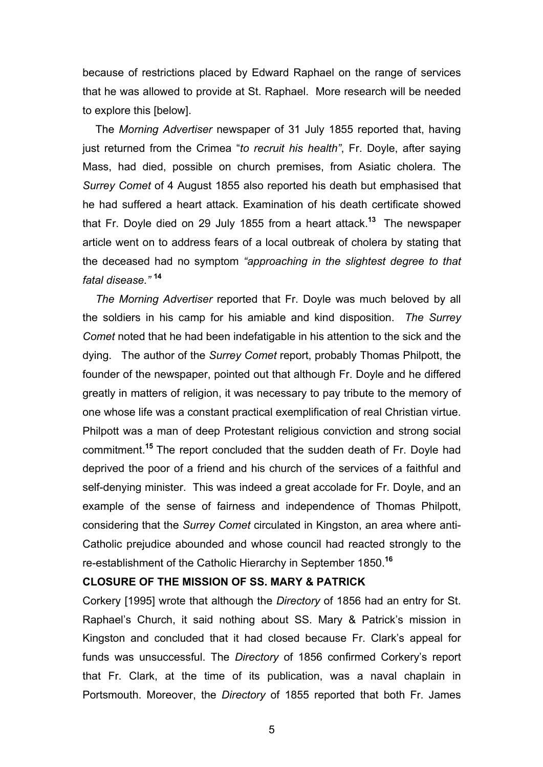because of restrictions placed by Edward Raphael on the range of services that he was allowed to provide at St. Raphael. More research will be needed to explore this [below].

The *Morning Advertiser* newspaper of 31 July 1855 reported that, having just returned from the Crimea "*to recruit his health"*, Fr. Doyle, after saying Mass, had died, possible on church premises, from Asiatic cholera. The *Surrey Comet* of 4 August 1855 also reported his death but emphasised that he had suffered a heart attack. Examination of his death certificate showed that Fr. Doyle died on 29 July 1855 from a heart attack.**<sup>13</sup>** The newspaper article went on to address fears of a local outbreak of cholera by stating that the deceased had no symptom *"approaching in the slightest degree to that fatal disease."* **14** 

*The Morning Advertiser* reported that Fr. Doyle was much beloved by all the soldiers in his camp for his amiable and kind disposition. *The Surrey Comet* noted that he had been indefatigable in his attention to the sick and the dying. The author of the *Surrey Comet* report, probably Thomas Philpott, the founder of the newspaper, pointed out that although Fr. Doyle and he differed greatly in matters of religion, it was necessary to pay tribute to the memory of one whose life was a constant practical exemplification of real Christian virtue. Philpott was a man of deep Protestant religious conviction and strong social commitment.**<sup>15</sup>** The report concluded that the sudden death of Fr. Doyle had deprived the poor of a friend and his church of the services of a faithful and self-denying minister. This was indeed a great accolade for Fr. Doyle, and an example of the sense of fairness and independence of Thomas Philpott, considering that the *Surrey Comet* circulated in Kingston, an area where anti-Catholic prejudice abounded and whose council had reacted strongly to the re-establishment of the Catholic Hierarchy in September 1850.**<sup>16</sup>**

## **CLOSURE OF THE MISSION OF SS. MARY & PATRICK**

Corkery [1995] wrote that although the *Directory* of 1856 had an entry for St. Raphael's Church, it said nothing about SS. Mary & Patrick's mission in Kingston and concluded that it had closed because Fr. Clark's appeal for funds was unsuccessful. The *Directory* of 1856 confirmed Corkery's report that Fr. Clark, at the time of its publication, was a naval chaplain in Portsmouth. Moreover, the *Directory* of 1855 reported that both Fr. James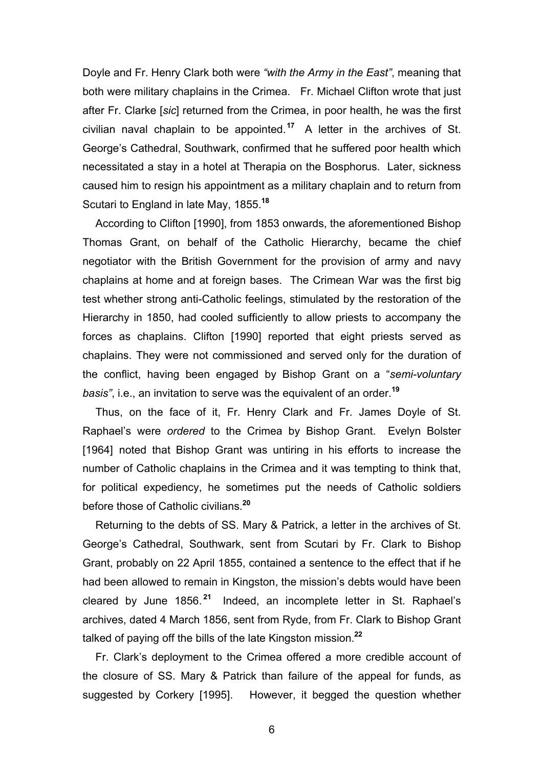Doyle and Fr. Henry Clark both were *"with the Army in the East"*, meaning that both were military chaplains in the Crimea. Fr. Michael Clifton wrote that just after Fr. Clarke [*sic*] returned from the Crimea, in poor health, he was the first civilian naval chaplain to be appointed.**<sup>17</sup>** A letter in the archives of St. George's Cathedral, Southwark, confirmed that he suffered poor health which necessitated a stay in a hotel at Therapia on the Bosphorus. Later, sickness caused him to resign his appointment as a military chaplain and to return from Scutari to England in late May, 1855. **<sup>18</sup>**

According to Clifton [1990], from 1853 onwards, the aforementioned Bishop Thomas Grant, on behalf of the Catholic Hierarchy, became the chief negotiator with the British Government for the provision of army and navy chaplains at home and at foreign bases. The Crimean War was the first big test whether strong anti-Catholic feelings, stimulated by the restoration of the Hierarchy in 1850, had cooled sufficiently to allow priests to accompany the forces as chaplains. Clifton [1990] reported that eight priests served as chaplains. They were not commissioned and served only for the duration of the conflict, having been engaged by Bishop Grant on a "*semi-voluntary basis"*, i.e., an invitation to serve was the equivalent of an order.**<sup>19</sup>**

Thus, on the face of it, Fr. Henry Clark and Fr. James Doyle of St. Raphael's were *ordered* to the Crimea by Bishop Grant. Evelyn Bolster [1964] noted that Bishop Grant was untiring in his efforts to increase the number of Catholic chaplains in the Crimea and it was tempting to think that, for political expediency, he sometimes put the needs of Catholic soldiers before those of Catholic civilians.**<sup>20</sup>**

Returning to the debts of SS. Mary & Patrick, a letter in the archives of St. George's Cathedral, Southwark, sent from Scutari by Fr. Clark to Bishop Grant, probably on 22 April 1855, contained a sentence to the effect that if he had been allowed to remain in Kingston, the mission's debts would have been cleared by June 1856. **<sup>21</sup>** Indeed, an incomplete letter in St. Raphael's archives, dated 4 March 1856, sent from Ryde, from Fr. Clark to Bishop Grant talked of paying off the bills of the late Kingston mission.**<sup>22</sup>**

Fr. Clark's deployment to the Crimea offered a more credible account of the closure of SS. Mary & Patrick than failure of the appeal for funds, as suggested by Corkery [1995]. However, it begged the question whether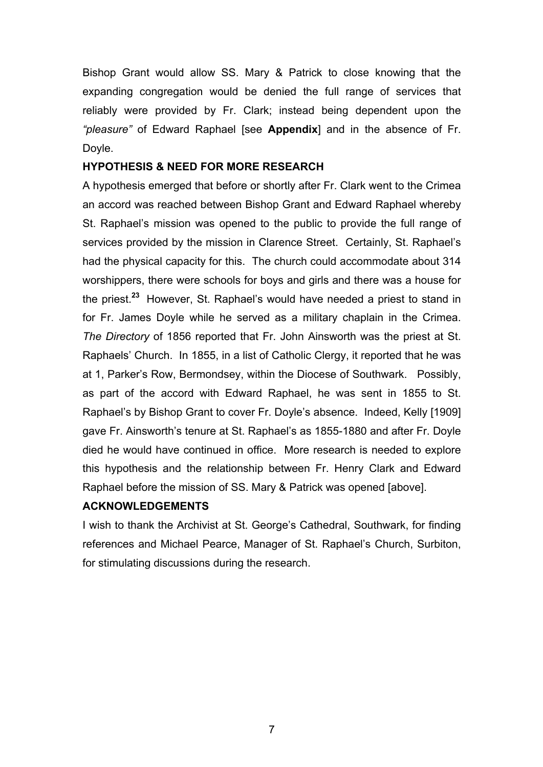Bishop Grant would allow SS. Mary & Patrick to close knowing that the expanding congregation would be denied the full range of services that reliably were provided by Fr. Clark; instead being dependent upon the *"pleasure"* of Edward Raphael [see **Appendix**] and in the absence of Fr. Dovle.

## **HYPOTHESIS & NEED FOR MORE RESEARCH**

A hypothesis emerged that before or shortly after Fr. Clark went to the Crimea an accord was reached between Bishop Grant and Edward Raphael whereby St. Raphael's mission was opened to the public to provide the full range of services provided by the mission in Clarence Street. Certainly, St. Raphael's had the physical capacity for this. The church could accommodate about 314 worshippers, there were schools for boys and girls and there was a house for the priest.**<sup>23</sup>** However, St. Raphael's would have needed a priest to stand in for Fr. James Doyle while he served as a military chaplain in the Crimea. *The Directory* of 1856 reported that Fr. John Ainsworth was the priest at St. Raphaels' Church. In 1855, in a list of Catholic Clergy, it reported that he was at 1, Parker's Row, Bermondsey, within the Diocese of Southwark. Possibly, as part of the accord with Edward Raphael, he was sent in 1855 to St. Raphael's by Bishop Grant to cover Fr. Doyle's absence. Indeed, Kelly [1909] gave Fr. Ainsworth's tenure at St. Raphael's as 1855-1880 and after Fr. Doyle died he would have continued in office. More research is needed to explore this hypothesis and the relationship between Fr. Henry Clark and Edward Raphael before the mission of SS. Mary & Patrick was opened [above].

# **ACKNOWLEDGEMENTS**

I wish to thank the Archivist at St. George's Cathedral, Southwark, for finding references and Michael Pearce, Manager of St. Raphael's Church, Surbiton, for stimulating discussions during the research.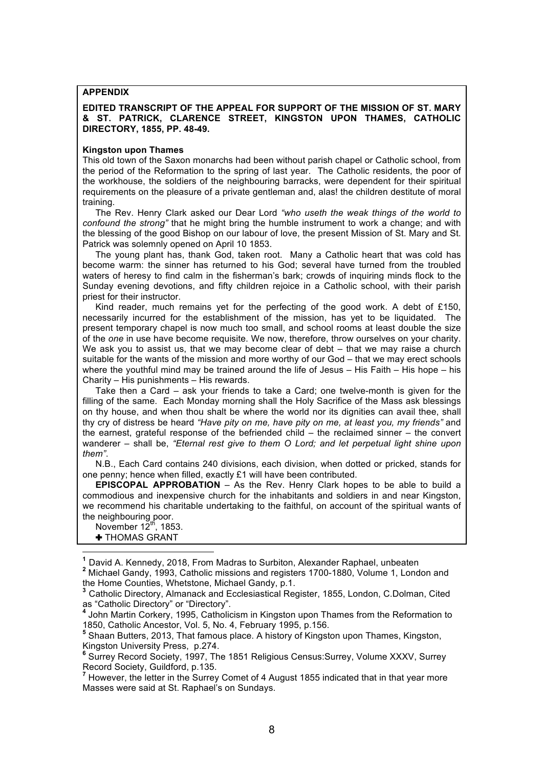#### **APPENDIX**

#### **EDITED TRANSCRIPT OF THE APPEAL FOR SUPPORT OF THE MISSION OF ST. MARY & ST. PATRICK, CLARENCE STREET, KINGSTON UPON THAMES, CATHOLIC DIRECTORY, 1855, PP. 48-49.**

#### **Kingston upon Thames**

This old town of the Saxon monarchs had been without parish chapel or Catholic school, from the period of the Reformation to the spring of last year. The Catholic residents, the poor of the workhouse, the soldiers of the neighbouring barracks, were dependent for their spiritual requirements on the pleasure of a private gentleman and, alas! the children destitute of moral training.

The Rev. Henry Clark asked our Dear Lord *"who useth the weak things of the world to confound the strong"* that he might bring the humble instrument to work a change; and with the blessing of the good Bishop on our labour of love, the present Mission of St. Mary and St. Patrick was solemnly opened on April 10 1853.

The young plant has, thank God, taken root. Many a Catholic heart that was cold has become warm: the sinner has returned to his God; several have turned from the troubled waters of heresy to find calm in the fisherman's bark; crowds of inquiring minds flock to the Sunday evening devotions, and fifty children rejoice in a Catholic school, with their parish priest for their instructor.

Kind reader, much remains yet for the perfecting of the good work. A debt of £150, necessarily incurred for the establishment of the mission, has yet to be liquidated. The present temporary chapel is now much too small, and school rooms at least double the size of the *one* in use have become requisite. We now, therefore, throw ourselves on your charity. We ask you to assist us, that we may become clear of debt – that we may raise a church suitable for the wants of the mission and more worthy of our God – that we may erect schools where the youthful mind may be trained around the life of Jesus – His Faith – His hope – his Charity – His punishments – His rewards.

Take then a Card – ask your friends to take a Card; one twelve-month is given for the filling of the same. Each Monday morning shall the Holy Sacrifice of the Mass ask blessings on thy house, and when thou shalt be where the world nor its dignities can avail thee, shall thy cry of distress be heard *"Have pity on me, have pity on me, at least you, my friends"* and the earnest, grateful response of the befriended child – the reclaimed sinner – the convert wanderer – shall be, *"Eternal rest give to them O Lord; and let perpetual light shine upon them"*.

N.B., Each Card contains 240 divisions, each division, when dotted or pricked, stands for one penny; hence when filled, exactly £1 will have been contributed.

**EPISCOPAL APPROBATION** – As the Rev. Henry Clark hopes to be able to build a commodious and inexpensive church for the inhabitants and soldiers in and near Kingston, we recommend his charitable undertaking to the faithful, on account of the spiritual wants of the neighbouring poor.

November  $12^{th}$ , 1853. ✚ THOMAS GRANT

**<sup>2</sup>** Michael Gandy, 1993, Catholic missions and registers 1700-1880, Volume 1, London and the Home Counties, Whetstone, Michael Gandy, p.1.

**<sup>3</sup>** Catholic Directory, Almanack and Ecclesiastical Register, 1855, London, C.Dolman, Cited as "Catholic Directory" or "Directory".<br><sup>4</sup> John Martin Corkery, 1995, Catholicism in Kingston upon Thames from the Reformation to

1850, Catholic Ancestor, Vol. 5, No. 4, February 1995, p.156.

**<sup>5</sup>** Shaan Butters, 2013, That famous place. A history of Kingston upon Thames, Kingston, Kingston University Press, p.274.

**<sup>6</sup>** Surrey Record Society, 1997, The 1851 Religious Census:Surrey, Volume XXXV, Surrey Record Society, Guildford, p.135.<br><sup>7</sup> However, the letter in the Surrey Comet of 4 August 1855 indicated that in that year more

Masses were said at St. Raphael's on Sundays.

**<sup>1</sup>** David A. Kennedy, 2018, From Madras to Surbiton, Alexander Raphael, unbeaten